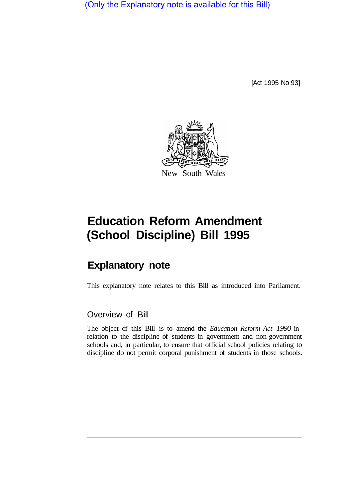(Only the Explanatory note is available for this Bill)

[Act 1995 No 93]



# **Education Reform Amendment (School Discipline) Bill 1995**

## **Explanatory note**

This explanatory note relates to this Bill as introduced into Parliament.

#### Overview of Bill

The object of this Bill is to amend the *Education Reform Act 1990* in relation to the discipline of students in government and non-government schools and, in particular, to ensure that official school policies relating to discipline do not permit corporal punishment of students in those schools.